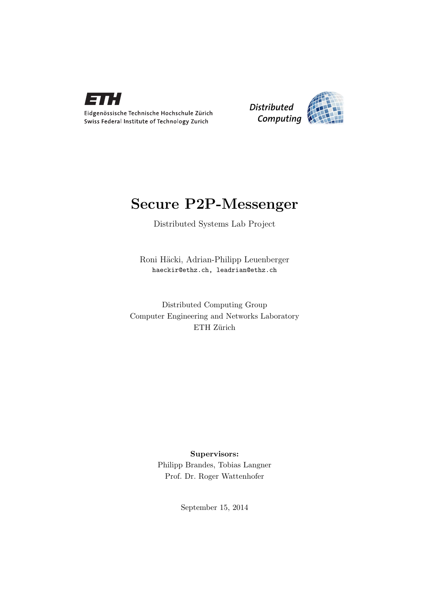

Eidgenössische Technische Hochschule Zürich Swiss Federal Institute of Technology Zurich



# Secure P2P-Messenger

Distributed Systems Lab Project

Roni Häcki, Adrian-Philipp Leuenberger haeckir@ethz.ch, leadrian@ethz.ch

Distributed Computing Group Computer Engineering and Networks Laboratory  $\operatorname{ETH}$ Zürich

> Supervisors: Philipp Brandes, Tobias Langner Prof. Dr. Roger Wattenhofer

> > September 15, 2014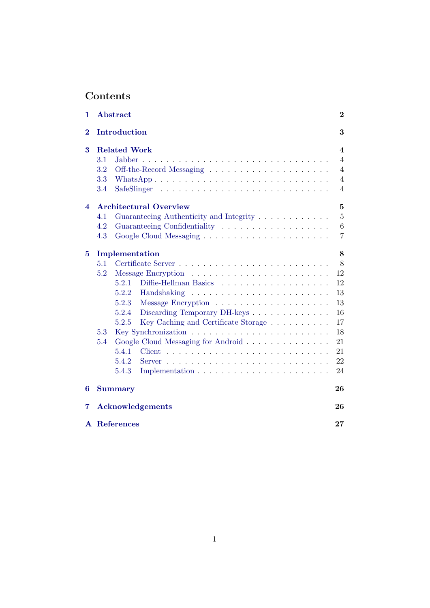## Contents

| 1                       |                                               | Abstract                                                                            | $\bf{2}$       |
|-------------------------|-----------------------------------------------|-------------------------------------------------------------------------------------|----------------|
| $\bf{2}$                |                                               | Introduction                                                                        | 3              |
| $\bf{3}$                | <b>Related Work</b>                           |                                                                                     |                |
|                         | 3.1                                           | Jabber.                                                                             | $\overline{4}$ |
|                         | 3.2                                           |                                                                                     | $\overline{4}$ |
|                         | 3.3                                           |                                                                                     | $\overline{4}$ |
|                         | 3.4                                           | SafeSlinger                                                                         | $\overline{4}$ |
| $\overline{\mathbf{4}}$ | <b>Architectural Overview</b><br>$\mathbf{5}$ |                                                                                     |                |
|                         | 4.1                                           | Guaranteeing Authenticity and Integrity                                             | $\overline{5}$ |
|                         | 4.2                                           |                                                                                     | 6              |
|                         | 4.3                                           |                                                                                     | $\overline{7}$ |
| $\bf{5}$                | Implementation<br>8                           |                                                                                     |                |
|                         | 5.1                                           |                                                                                     | 8              |
|                         | 5.2                                           |                                                                                     | 12             |
|                         |                                               | 5.2.1<br>Diffie-Hellman Basics                                                      | 12             |
|                         |                                               | 5.2.2                                                                               | 13             |
|                         |                                               | 5.2.3                                                                               | 13             |
|                         |                                               | 5.2.4<br>Discarding Temporary DH-keys                                               | 16             |
|                         |                                               | Key Caching and Certificate Storage<br>5.2.5                                        | 17             |
|                         | 5.3                                           |                                                                                     | 18             |
|                         | 5.4                                           | Google Cloud Messaging for Android                                                  | 21             |
|                         |                                               | 5.4.1                                                                               | 21             |
|                         |                                               | 5.4.2<br>$Server \dots \dots \dots \dots \dots \dots \dots \dots \dots \dots \dots$ | 22             |
|                         |                                               | 5.4.3                                                                               | 24             |
| 6                       | <b>Summary</b>                                |                                                                                     | 26             |
| 7                       |                                               | Acknowledgements                                                                    | 26             |
| $\mathbf{A}$            |                                               | References                                                                          | 27             |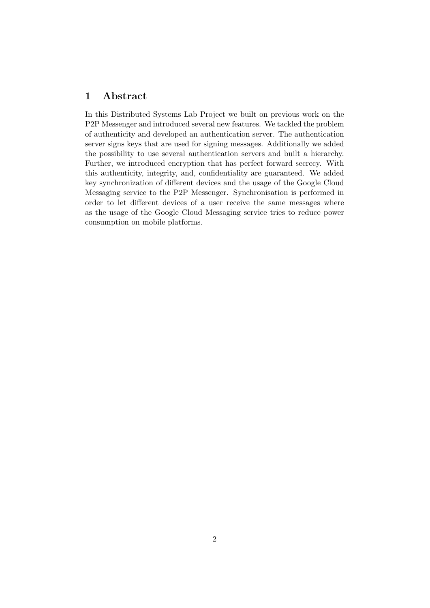## <span id="page-2-0"></span>1 Abstract

In this Distributed Systems Lab Project we built on previous work on the P2P Messenger and introduced several new features. We tackled the problem of authenticity and developed an authentication server. The authentication server signs keys that are used for signing messages. Additionally we added the possibility to use several authentication servers and built a hierarchy. Further, we introduced encryption that has perfect forward secrecy. With this authenticity, integrity, and, confidentiality are guaranteed. We added key synchronization of different devices and the usage of the Google Cloud Messaging service to the P2P Messenger. Synchronisation is performed in order to let different devices of a user receive the same messages where as the usage of the Google Cloud Messaging service tries to reduce power consumption on mobile platforms.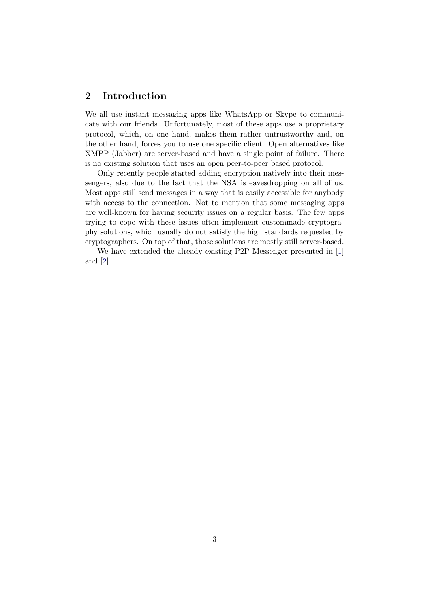## <span id="page-3-0"></span>2 Introduction

We all use instant messaging apps like WhatsApp or Skype to communicate with our friends. Unfortunately, most of these apps use a proprietary protocol, which, on one hand, makes them rather untrustworthy and, on the other hand, forces you to use one specific client. Open alternatives like XMPP (Jabber) are server-based and have a single point of failure. There is no existing solution that uses an open peer-to-peer based protocol.

Only recently people started adding encryption natively into their messengers, also due to the fact that the NSA is eavesdropping on all of us. Most apps still send messages in a way that is easily accessible for anybody with access to the connection. Not to mention that some messaging apps are well-known for having security issues on a regular basis. The few apps trying to cope with these issues often implement custommade cryptography solutions, which usually do not satisfy the high standards requested by cryptographers. On top of that, those solutions are mostly still server-based.

We have extended the already existing P2P Messenger presented in [\[1\]](#page-27-1) and [\[2\]](#page-27-2).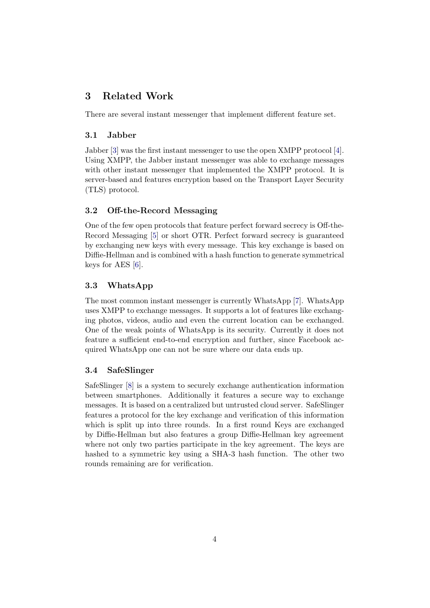## <span id="page-4-0"></span>3 Related Work

There are several instant messenger that implement different feature set.

#### <span id="page-4-1"></span>3.1 Jabber

Jabber [\[3\]](#page-27-3) was the first instant messenger to use the open XMPP protocol [\[4\]](#page-27-4). Using XMPP, the Jabber instant messenger was able to exchange messages with other instant messenger that implemented the XMPP protocol. It is server-based and features encryption based on the Transport Layer Security (TLS) protocol.

#### <span id="page-4-2"></span>3.2 Off-the-Record Messaging

One of the few open protocols that feature perfect forward secrecy is Off-the-Record Messaging [\[5\]](#page-27-5) or short OTR. Perfect forward secrecy is guaranteed by exchanging new keys with every message. This key exchange is based on Diffie-Hellman and is combined with a hash function to generate symmetrical keys for AES [\[6\]](#page-27-6).

#### <span id="page-4-3"></span>3.3 WhatsApp

The most common instant messenger is currently WhatsApp [\[7\]](#page-27-7). WhatsApp uses XMPP to exchange messages. It supports a lot of features like exchanging photos, videos, audio and even the current location can be exchanged. One of the weak points of WhatsApp is its security. Currently it does not feature a sufficient end-to-end encryption and further, since Facebook acquired WhatsApp one can not be sure where our data ends up.

#### <span id="page-4-4"></span>3.4 SafeSlinger

SafeSlinger [\[8\]](#page-27-8) is a system to securely exchange authentication information between smartphones. Additionally it features a secure way to exchange messages. It is based on a centralized but untrusted cloud server. SafeSlinger features a protocol for the key exchange and verification of this information which is split up into three rounds. In a first round Keys are exchanged by Diffie-Hellman but also features a group Diffie-Hellman key agreement where not only two parties participate in the key agreement. The keys are hashed to a symmetric key using a SHA-3 hash function. The other two rounds remaining are for verification.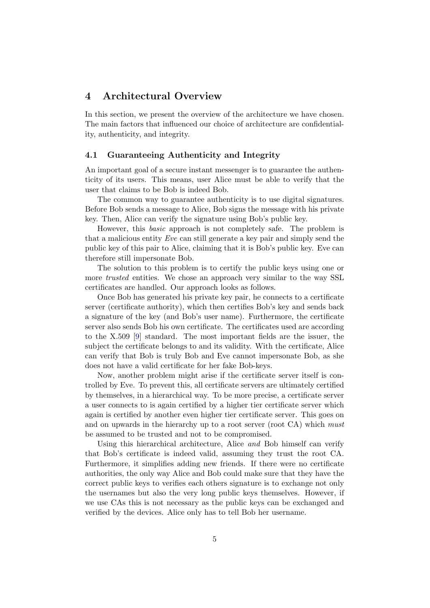## <span id="page-5-0"></span>4 Architectural Overview

In this section, we present the overview of the architecture we have chosen. The main factors that influenced our choice of architecture are confidentiality, authenticity, and integrity.

#### <span id="page-5-1"></span>4.1 Guaranteeing Authenticity and Integrity

An important goal of a secure instant messenger is to guarantee the authenticity of its users. This means, user Alice must be able to verify that the user that claims to be Bob is indeed Bob.

The common way to guarantee authenticity is to use digital signatures. Before Bob sends a message to Alice, Bob signs the message with his private key. Then, Alice can verify the signature using Bob's public key.

However, this basic approach is not completely safe. The problem is that a malicious entity Eve can still generate a key pair and simply send the public key of this pair to Alice, claiming that it is Bob's public key. Eve can therefore still impersonate Bob.

The solution to this problem is to certify the public keys using one or more *trusted* entities. We chose an approach very similar to the way SSL certificates are handled. Our approach looks as follows.

Once Bob has generated his private key pair, he connects to a certificate server (certificate authority), which then certifies Bob's key and sends back a signature of the key (and Bob's user name). Furthermore, the certificate server also sends Bob his own certificate. The certificates used are according to the X.509 [\[9\]](#page-27-9) standard. The most important fields are the issuer, the subject the certificate belongs to and its validity. With the certificate, Alice can verify that Bob is truly Bob and Eve cannot impersonate Bob, as she does not have a valid certificate for her fake Bob-keys.

Now, another problem might arise if the certificate server itself is controlled by Eve. To prevent this, all certificate servers are ultimately certified by themselves, in a hierarchical way. To be more precise, a certificate server a user connects to is again certified by a higher tier certificate server which again is certified by another even higher tier certificate server. This goes on and on upwards in the hierarchy up to a root server (root CA) which must be assumed to be trusted and not to be compromised.

Using this hierarchical architecture, Alice and Bob himself can verify that Bob's certificate is indeed valid, assuming they trust the root CA. Furthermore, it simplifies adding new friends. If there were no certificate authorities, the only way Alice and Bob could make sure that they have the correct public keys to verifies each others signature is to exchange not only the usernames but also the very long public keys themselves. However, if we use CAs this is not necessary as the public keys can be exchanged and verified by the devices. Alice only has to tell Bob her username.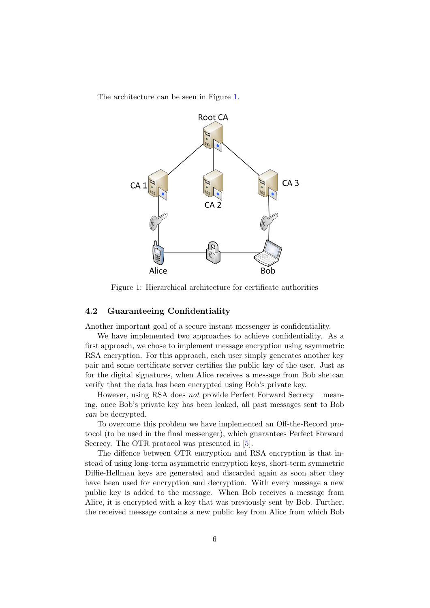<span id="page-6-1"></span>The architecture can be seen in Figure [1.](#page-6-1)



Figure 1: Hierarchical architecture for certificate authorities

#### <span id="page-6-0"></span>4.2 Guaranteeing Confidentiality

Another important goal of a secure instant messenger is confidentiality.

We have implemented two approaches to achieve confidentiality. As a first approach, we chose to implement message encryption using asymmetric RSA encryption. For this approach, each user simply generates another key pair and some certificate server certifies the public key of the user. Just as for the digital signatures, when Alice receives a message from Bob she can verify that the data has been encrypted using Bob's private key.

However, using RSA does not provide Perfect Forward Secrecy – meaning, once Bob's private key has been leaked, all past messages sent to Bob can be decrypted.

To overcome this problem we have implemented an Off-the-Record protocol (to be used in the final messenger), which guarantees Perfect Forward Secrecy. The OTR protocol was presented in [\[5\]](#page-27-5).

The diffence between OTR encryption and RSA encryption is that instead of using long-term asymmetric encryption keys, short-term symmetric Diffie-Hellman keys are generated and discarded again as soon after they have been used for encryption and decryption. With every message a new public key is added to the message. When Bob receives a message from Alice, it is encrypted with a key that was previously sent by Bob. Further, the received message contains a new public key from Alice from which Bob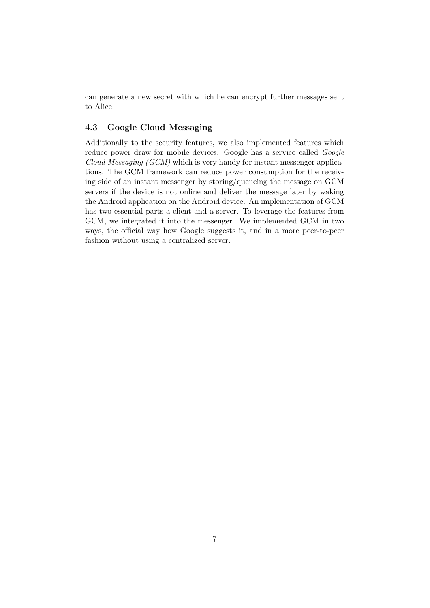can generate a new secret with which he can encrypt further messages sent to Alice.

#### <span id="page-7-0"></span>4.3 Google Cloud Messaging

Additionally to the security features, we also implemented features which reduce power draw for mobile devices. Google has a service called Google Cloud Messaging (GCM) which is very handy for instant messenger applications. The GCM framework can reduce power consumption for the receiving side of an instant messenger by storing/queueing the message on GCM servers if the device is not online and deliver the message later by waking the Android application on the Android device. An implementation of GCM has two essential parts a client and a server. To leverage the features from GCM, we integrated it into the messenger. We implemented GCM in two ways, the official way how Google suggests it, and in a more peer-to-peer fashion without using a centralized server.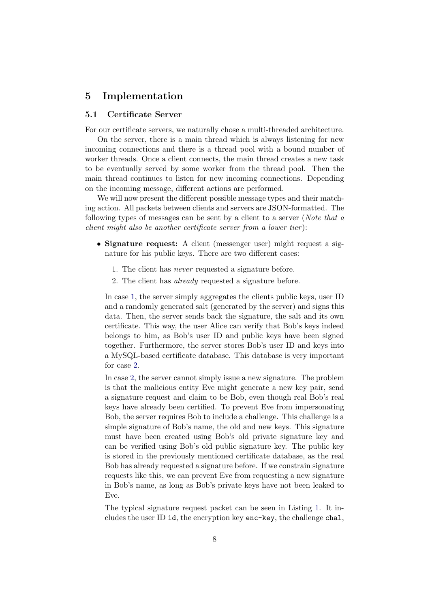## <span id="page-8-0"></span>5 Implementation

#### <span id="page-8-1"></span>5.1 Certificate Server

For our certificate servers, we naturally chose a multi-threaded architecture.

On the server, there is a main thread which is always listening for new incoming connections and there is a thread pool with a bound number of worker threads. Once a client connects, the main thread creates a new task to be eventually served by some worker from the thread pool. Then the main thread continues to listen for new incoming connections. Depending on the incoming message, different actions are performed.

We will now present the different possible message types and their matching action. All packets between clients and servers are JSON-formatted. The following types of messages can be sent by a client to a server (Note that a client might also be another certificate server from a lower tier ):

- <span id="page-8-2"></span>• Signature request: A client (messenger user) might request a signature for his public keys. There are two different cases:
	- 1. The client has never requested a signature before.
	- 2. The client has already requested a signature before.

<span id="page-8-3"></span>In case [1,](#page-8-2) the server simply aggregates the clients public keys, user ID and a randomly generated salt (generated by the server) and signs this data. Then, the server sends back the signature, the salt and its own certificate. This way, the user Alice can verify that Bob's keys indeed belongs to him, as Bob's user ID and public keys have been signed together. Furthermore, the server stores Bob's user ID and keys into a MySQL-based certificate database. This database is very important for case [2.](#page-8-3)

In case [2,](#page-8-3) the server cannot simply issue a new signature. The problem is that the malicious entity Eve might generate a new key pair, send a signature request and claim to be Bob, even though real Bob's real keys have already been certified. To prevent Eve from impersonating Bob, the server requires Bob to include a challenge. This challenge is a simple signature of Bob's name, the old and new keys. This signature must have been created using Bob's old private signature key and can be verified using Bob's old public signature key. The public key is stored in the previously mentioned certificate database, as the real Bob has already requested a signature before. If we constrain signature requests like this, we can prevent Eve from requesting a new signature in Bob's name, as long as Bob's private keys have not been leaked to Eve.

The typical signature request packet can be seen in Listing [1.](#page-9-0) It includes the user ID id, the encryption key enc-key, the challenge chal,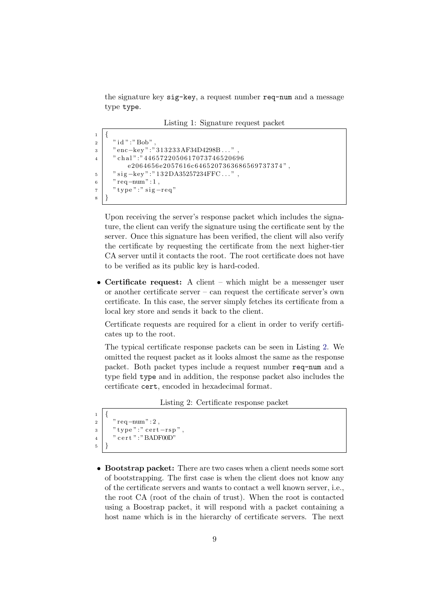the signature key sig-key, a request number req-num and a message type type.

Listing 1: Signature request packet

```
\overline{1}2 \mid "id":" Bob"\frac{3}{3} " enc−key":"313233AF34D4298B...",
\frac{4}{4} " chal":" 4465722050617073746520696
                    e 2 0 6 4 6 5 6e 2 0 5 7 6 1 6c 6 4 6 5 2 0 7 3 6 3 6 8 6 5 6 9 7 3 7 3 7 4 " ,
5 " \frac{1}{2} \frac{1}{2} \frac{1}{2} \frac{1}{2} \frac{1}{2} \frac{1}{2} \frac{1}{2} \frac{1}{2} \frac{1}{2} \frac{1}{2} \frac{1}{2} \frac{1}{2} \frac{1}{2} \frac{1}{2} \frac{1}{2} \frac{1}{2} \frac{1}{2} \frac{1}{2} \frac{1}{2} \frac{1}{2} \frac{1}{2} \frac6 \mid " req –num" : 1,
7 \mid "type":" sig -req"
8 }
```
Upon receiving the server's response packet which includes the signature, the client can verify the signature using the certificate sent by the server. Once this signature has been verified, the client will also verify the certificate by requesting the certificate from the next higher-tier CA server until it contacts the root. The root certificate does not have to be verified as its public key is hard-coded.

• Certificate request: A client – which might be a messenger user or another certificate server – can request the certificate server's own certificate. In this case, the server simply fetches its certificate from a local key store and sends it back to the client.

Certificate requests are required for a client in order to verify certificates up to the root.

The typical certificate response packets can be seen in Listing [2.](#page-9-1) We omitted the request packet as it looks almost the same as the response packet. Both packet types include a request number req-num and a type field type and in addition, the response packet also includes the certificate cert, encoded in hexadecimal format.

Listing 2: Certificate response packet

```
\overline{1}2 \mid "reg-num" : 2,3 \mid "type": "cert-rsp",4 | " cert ": "BADF00D"
\overline{5}
```
• Bootstrap packet: There are two cases when a client needs some sort of bootstrapping. The first case is when the client does not know any of the certificate servers and wants to contact a well known server, i.e., the root CA (root of the chain of trust). When the root is contacted using a Boostrap packet, it will respond with a packet containing a host name which is in the hierarchy of certificate servers. The next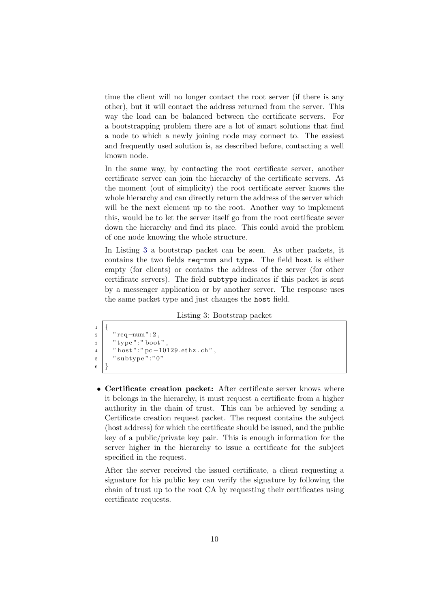time the client will no longer contact the root server (if there is any other), but it will contact the address returned from the server. This way the load can be balanced between the certificate servers. For a bootstrapping problem there are a lot of smart solutions that find a node to which a newly joining node may connect to. The easiest and frequently used solution is, as described before, contacting a well known node.

In the same way, by contacting the root certificate server, another certificate server can join the hierarchy of the certificate servers. At the moment (out of simplicity) the root certificate server knows the whole hierarchy and can directly return the address of the server which will be the next element up to the root. Another way to implement this, would be to let the server itself go from the root certificate sever down the hierarchy and find its place. This could avoid the problem of one node knowing the whole structure.

In Listing [3](#page-10-0) a bootstrap packet can be seen. As other packets, it contains the two fields req-num and type. The field host is either empty (for clients) or contains the address of the server (for other certificate servers). The field subtype indicates if this packet is sent by a messenger application or by another server. The response uses the same packet type and just changes the host field.

#### Listing 3: Bootstrap packet

<span id="page-10-0"></span> $\overline{1}$  $2 \mid "reg-num" : 2,$ <sup>3</sup> " type ": " boot " ,  $4 \mid "host":" pc-10129. ethz.ch"$ , 5 | "subtype":"0" <sup>6</sup> }

• Certificate creation packet: After certificate server knows where it belongs in the hierarchy, it must request a certificate from a higher authority in the chain of trust. This can be achieved by sending a Certificate creation request packet. The request contains the subject (host address) for which the certificate should be issued, and the public key of a public/private key pair. This is enough information for the server higher in the hierarchy to issue a certificate for the subject specified in the request.

After the server received the issued certificate, a client requesting a signature for his public key can verify the signature by following the chain of trust up to the root CA by requesting their certificates using certificate requests.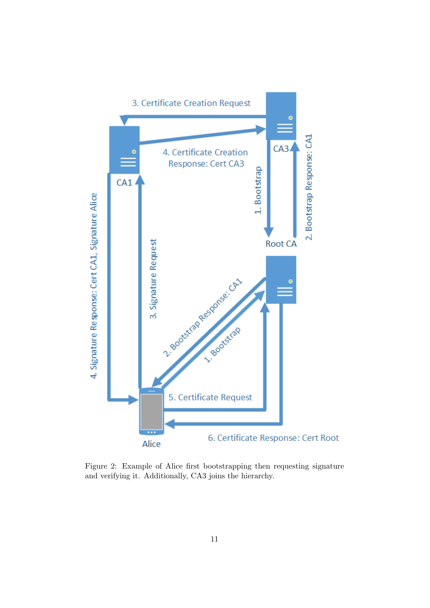

Figure 2: Example of Alice first bootstrapping then requesting signature and verifying it. Additionally, CA3 joins the hierarchy.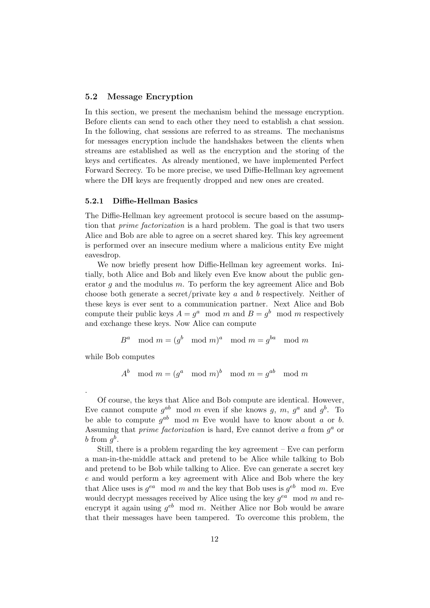#### <span id="page-12-0"></span>5.2 Message Encryption

In this section, we present the mechanism behind the message encryption. Before clients can send to each other they need to establish a chat session. In the following, chat sessions are referred to as streams. The mechanisms for messages encryption include the handshakes between the clients when streams are established as well as the encryption and the storing of the keys and certificates. As already mentioned, we have implemented Perfect Forward Secrecy. To be more precise, we used Diffie-Hellman key agreement where the DH keys are frequently dropped and new ones are created.

#### <span id="page-12-1"></span>5.2.1 Diffie-Hellman Basics

The Diffie-Hellman key agreement protocol is secure based on the assumption that prime factorization is a hard problem. The goal is that two users Alice and Bob are able to agree on a secret shared key. This key agreement is performed over an insecure medium where a malicious entity Eve might eavesdrop.

We now briefly present how Diffie-Hellman key agreement works. Initially, both Alice and Bob and likely even Eve know about the public generator  $g$  and the modulus  $m$ . To perform the key agreement Alice and Bob choose both generate a secret/private key a and b respectively. Neither of these keys is ever sent to a communication partner. Next Alice and Bob compute their public keys  $A = g^a \mod m$  and  $B = g^b \mod m$  respectively and exchange these keys. Now Alice can compute

 $B^a \mod m = (g^b \mod m)^a \mod m = g^{ba} \mod m$ 

while Bob computes

.

$$
Ab \mod m = (ga \mod m)b \mod m = gab \mod m
$$

Of course, the keys that Alice and Bob compute are identical. However, Eve cannot compute  $g^{ab}$  mod m even if she knows g, m,  $g^a$  and  $g^b$ . To be able to compute  $g^{ab}$  mod m Eve would have to know about a or b. Assuming that *prime factorization* is hard, Eve cannot derive  $a$  from  $g^a$  or b from  $g^b$ .

Still, there is a problem regarding the key agreement – Eve can perform a man-in-the-middle attack and pretend to be Alice while talking to Bob and pretend to be Bob while talking to Alice. Eve can generate a secret key e and would perform a key agreement with Alice and Bob where the key that Alice uses is  $g^{ea} \mod m$  and the key that Bob uses is  $g^{eb} \mod m$ . Eve would decrypt messages received by Alice using the key  $g^{ea}$  mod m and reencrypt it again using  $g^{eb}$  mod m. Neither Alice nor Bob would be aware that their messages have been tampered. To overcome this problem, the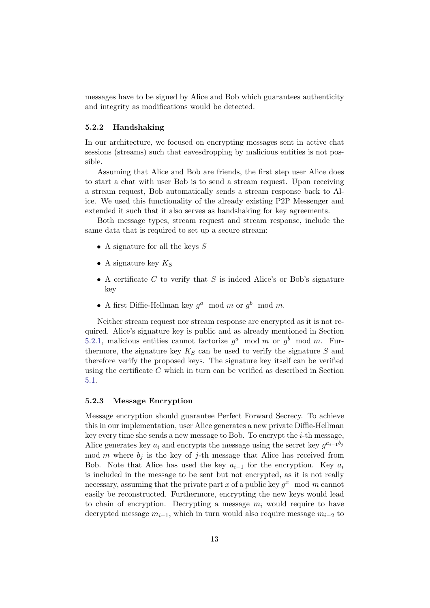messages have to be signed by Alice and Bob which guarantees authenticity and integrity as modifications would be detected.

#### <span id="page-13-0"></span>5.2.2 Handshaking

In our architecture, we focused on encrypting messages sent in active chat sessions (streams) such that eavesdropping by malicious entities is not possible.

Assuming that Alice and Bob are friends, the first step user Alice does to start a chat with user Bob is to send a stream request. Upon receiving a stream request, Bob automatically sends a stream response back to Alice. We used this functionality of the already existing P2P Messenger and extended it such that it also serves as handshaking for key agreements.

Both message types, stream request and stream response, include the same data that is required to set up a secure stream:

- A signature for all the keys  $S$
- A signature key  $K_S$
- A certificate C to verify that S is indeed Alice's or Bob's signature key
- A first Diffie-Hellman key  $g^a \mod m$  or  $g^b \mod m$ .

Neither stream request nor stream response are encrypted as it is not required. Alice's signature key is public and as already mentioned in Section [5.2.1,](#page-12-1) malicious entities cannot factorize  $g^a$  mod m or  $g^b$  mod m. Furthermore, the signature key  $K_S$  can be used to verify the signature  $S$  and therefore verify the proposed keys. The signature key itself can be verified using the certificate  $C$  which in turn can be verified as described in Section [5.1.](#page-8-1)

#### <span id="page-13-1"></span>5.2.3 Message Encryption

Message encryption should guarantee Perfect Forward Secrecy. To achieve this in our implementation, user Alice generates a new private Diffie-Hellman key every time she sends a new message to Bob. To encrypt the i-th message, Alice generates key  $a_i$  and encrypts the message using the secret key  $g^{a_{i-1}b_j}$ mod m where  $b_j$  is the key of j-th message that Alice has received from Bob. Note that Alice has used the key  $a_{i-1}$  for the encryption. Key  $a_i$ is included in the message to be sent but not encrypted, as it is not really necessary, assuming that the private part x of a public key  $g^x$  mod m cannot easily be reconstructed. Furthermore, encrypting the new keys would lead to chain of encryption. Decrypting a message  $m_i$  would require to have decrypted message  $m_{i-1}$ , which in turn would also require message  $m_{i-2}$  to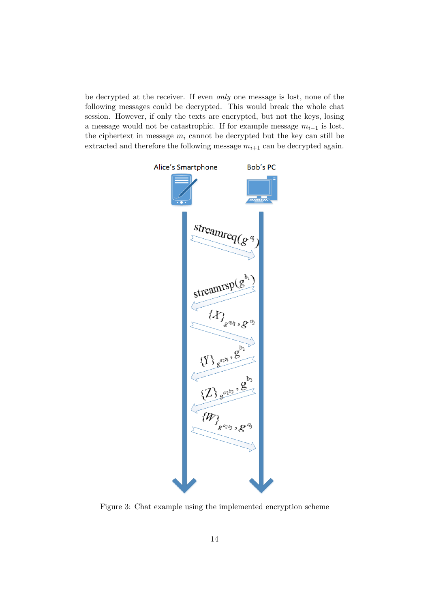be decrypted at the receiver. If even only one message is lost, none of the following messages could be decrypted. This would break the whole chat session. However, if only the texts are encrypted, but not the keys, losing a message would not be catastrophic. If for example message  $m_{i-1}$  is lost, the ciphertext in message  $m_i$  cannot be decrypted but the key can still be extracted and therefore the following message  $m_{i+1}$  can be decrypted again.



Figure 3: Chat example using the implemented encryption scheme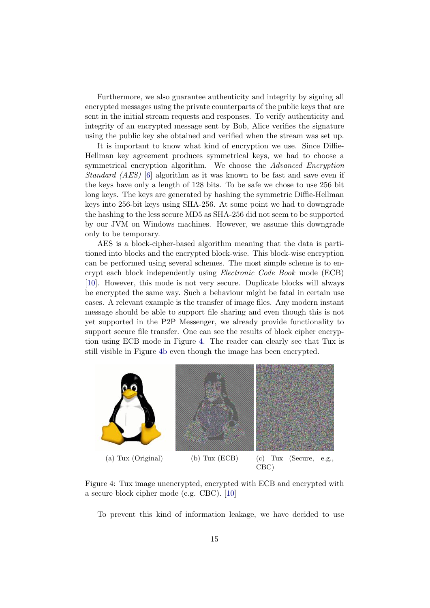Furthermore, we also guarantee authenticity and integrity by signing all encrypted messages using the private counterparts of the public keys that are sent in the initial stream requests and responses. To verify authenticity and integrity of an encrypted message sent by Bob, Alice verifies the signature using the public key she obtained and verified when the stream was set up.

It is important to know what kind of encryption we use. Since Diffie-Hellman key agreement produces symmetrical keys, we had to choose a symmetrical encryption algorithm. We choose the Advanced Encryption Standard (AES) [\[6\]](#page-27-6) algorithm as it was known to be fast and save even if the keys have only a length of 128 bits. To be safe we chose to use 256 bit long keys. The keys are generated by hashing the symmetric Diffie-Hellman keys into 256-bit keys using SHA-256. At some point we had to downgrade the hashing to the less secure MD5 as SHA-256 did not seem to be supported by our JVM on Windows machines. However, we assume this downgrade only to be temporary.

AES is a block-cipher-based algorithm meaning that the data is partitioned into blocks and the encrypted block-wise. This block-wise encryption can be performed using several schemes. The most simple scheme is to encrypt each block independently using Electronic Code Book mode (ECB) [\[10\]](#page-27-10). However, this mode is not very secure. Duplicate blocks will always be encrypted the same way. Such a behaviour might be fatal in certain use cases. A relevant example is the transfer of image files. Any modern instant message should be able to support file sharing and even though this is not yet supported in the P2P Messenger, we already provide functionality to support secure file transfer. One can see the results of block cipher encryption using ECB mode in Figure [4.](#page-16-1) The reader can clearly see that Tux is still visible in Figure [4b](#page-16-1) even though the image has been encrypted.



Figure 4: Tux image unencrypted, encrypted with ECB and encrypted with a secure block cipher mode (e.g. CBC). [\[10\]](#page-27-10)

To prevent this kind of information leakage, we have decided to use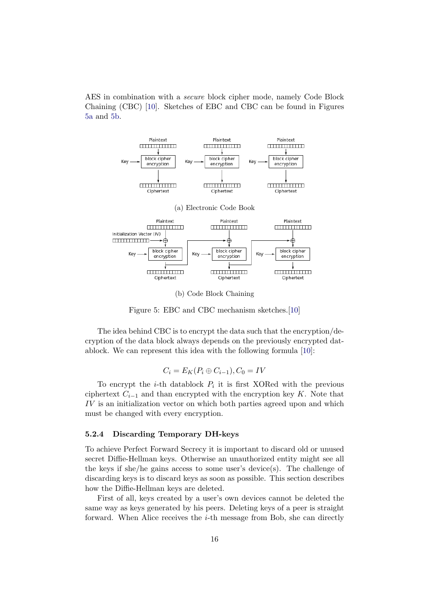AES in combination with a secure block cipher mode, namely Code Block Chaining (CBC) [\[10\]](#page-27-10). Sketches of EBC and CBC can be found in Figures [5a](#page-19-0) and [5b.](#page-19-0)

<span id="page-16-1"></span>

(b) Code Block Chaining

Figure 5: EBC and CBC mechanism sketches.[\[10\]](#page-27-10)

The idea behind CBC is to encrypt the data such that the encryption/decryption of the data block always depends on the previously encrypted datablock. We can represent this idea with the following formula [\[10\]](#page-27-10):

$$
C_i = E_K(P_i \oplus C_{i-1}), C_0 = IV
$$

To encrypt the *i*-th datablock  $P_i$  it is first XORed with the previous ciphertext  $C_{i-1}$  and than encrypted with the encryption key K. Note that IV is an initialization vector on which both parties agreed upon and which must be changed with every encryption.

#### <span id="page-16-0"></span>5.2.4 Discarding Temporary DH-keys

To achieve Perfect Forward Secrecy it is important to discard old or unused secret Diffie-Hellman keys. Otherwise an unauthorized entity might see all the keys if she/he gains access to some user's device(s). The challenge of discarding keys is to discard keys as soon as possible. This section describes how the Diffie-Hellman keys are deleted.

First of all, keys created by a user's own devices cannot be deleted the same way as keys generated by his peers. Deleting keys of a peer is straight forward. When Alice receives the  $i$ -th message from Bob, she can directly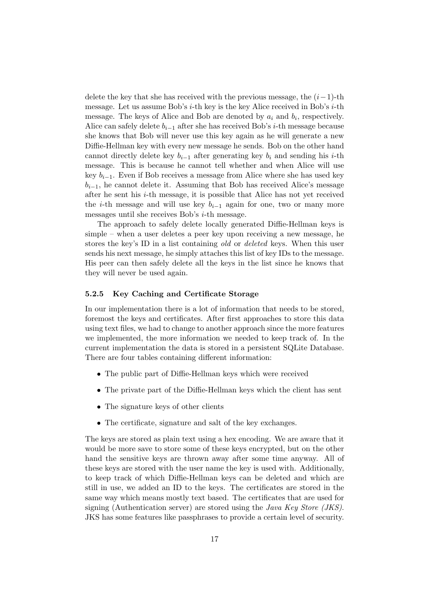delete the key that she has received with the previous message, the  $(i-1)$ -th message. Let us assume Bob's  $i$ -th key is the key Alice received in Bob's  $i$ -th message. The keys of Alice and Bob are denoted by  $a_i$  and  $b_i$ , respectively. Alice can safely delete  $b_{i-1}$  after she has received Bob's i-th message because she knows that Bob will never use this key again as he will generate a new Diffie-Hellman key with every new message he sends. Bob on the other hand cannot directly delete key  $b_{i-1}$  after generating key  $b_i$  and sending his i-th message. This is because he cannot tell whether and when Alice will use key  $b_{i-1}$ . Even if Bob receives a message from Alice where she has used key  $b_{i-1}$ , he cannot delete it. Assuming that Bob has received Alice's message after he sent his  $i$ -th message, it is possible that Alice has not yet received the *i*-th message and will use key  $b_{i-1}$  again for one, two or many more messages until she receives Bob's i-th message.

The approach to safely delete locally generated Diffie-Hellman keys is simple – when a user deletes a peer key upon receiving a new message, he stores the key's ID in a list containing old or deleted keys. When this user sends his next message, he simply attaches this list of key IDs to the message. His peer can then safely delete all the keys in the list since he knows that they will never be used again.

#### <span id="page-17-0"></span>5.2.5 Key Caching and Certificate Storage

In our implementation there is a lot of information that needs to be stored, foremost the keys and certificates. After first approaches to store this data using text files, we had to change to another approach since the more features we implemented, the more information we needed to keep track of. In the current implementation the data is stored in a persistent SQLite Database. There are four tables containing different information:

- The public part of Diffie-Hellman keys which were received
- The private part of the Diffie-Hellman keys which the client has sent
- The signature keys of other clients
- The certificate, signature and salt of the key exchanges.

The keys are stored as plain text using a hex encoding. We are aware that it would be more save to store some of these keys encrypted, but on the other hand the sensitive keys are thrown away after some time anyway. All of these keys are stored with the user name the key is used with. Additionally, to keep track of which Diffie-Hellman keys can be deleted and which are still in use, we added an ID to the keys. The certificates are stored in the same way which means mostly text based. The certificates that are used for signing (Authentication server) are stored using the *Java Key Store (JKS)*. JKS has some features like passphrases to provide a certain level of security.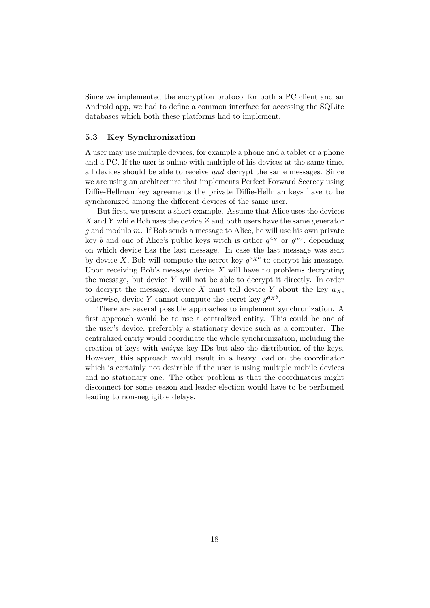Since we implemented the encryption protocol for both a PC client and an Android app, we had to define a common interface for accessing the SQLite databases which both these platforms had to implement.

#### <span id="page-18-0"></span>5.3 Key Synchronization

A user may use multiple devices, for example a phone and a tablet or a phone and a PC. If the user is online with multiple of his devices at the same time, all devices should be able to receive and decrypt the same messages. Since we are using an architecture that implements Perfect Forward Secrecy using Diffie-Hellman key agreements the private Diffie-Hellman keys have to be synchronized among the different devices of the same user.

But first, we present a short example. Assume that Alice uses the devices  $X$  and Y while Bob uses the device  $Z$  and both users have the same generator  $q$  and modulo  $m$ . If Bob sends a message to Alice, he will use his own private key b and one of Alice's public keys witch is either  $g^{a_X}$  or  $g^{a_Y}$ , depending on which device has the last message. In case the last message was sent by device X, Bob will compute the secret key  $g^{a}x^{b}$  to encrypt his message. Upon receiving Bob's message device  $X$  will have no problems decrypting the message, but device  $Y$  will not be able to decrypt it directly. In order to decrypt the message, device X must tell device Y about the key  $a_X$ , otherwise, device Y cannot compute the secret key  $g^{a_X b}$ .

There are several possible approaches to implement synchronization. A first approach would be to use a centralized entity. This could be one of the user's device, preferably a stationary device such as a computer. The centralized entity would coordinate the whole synchronization, including the creation of keys with unique key IDs but also the distribution of the keys. However, this approach would result in a heavy load on the coordinator which is certainly not desirable if the user is using multiple mobile devices and no stationary one. The other problem is that the coordinators might disconnect for some reason and leader election would have to be performed leading to non-negligible delays.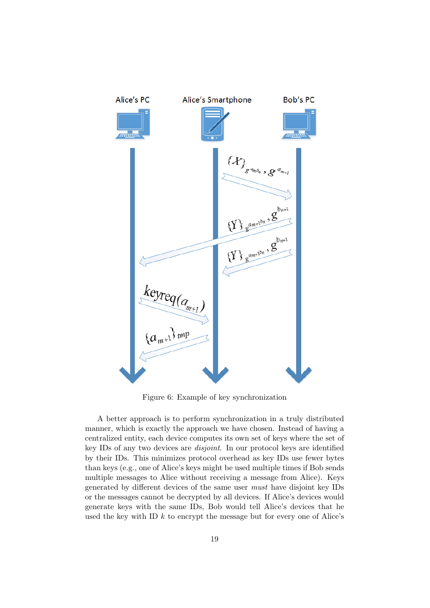<span id="page-19-0"></span>

Figure 6: Example of key synchronization

A better approach is to perform synchronization in a truly distributed manner, which is exactly the approach we have chosen. Instead of having a centralized entity, each device computes its own set of keys where the set of key IDs of any two devices are disjoint. In our protocol keys are identified by their IDs. This minimizes protocol overhead as key IDs use fewer bytes than keys (e.g., one of Alice's keys might be used multiple times if Bob sends multiple messages to Alice without receiving a message from Alice). Keys generated by different devices of the same user must have disjoint key IDs or the messages cannot be decrypted by all devices. If Alice's devices would generate keys with the same IDs, Bob would tell Alice's devices that he used the key with ID  $k$  to encrypt the message but for every one of Alice's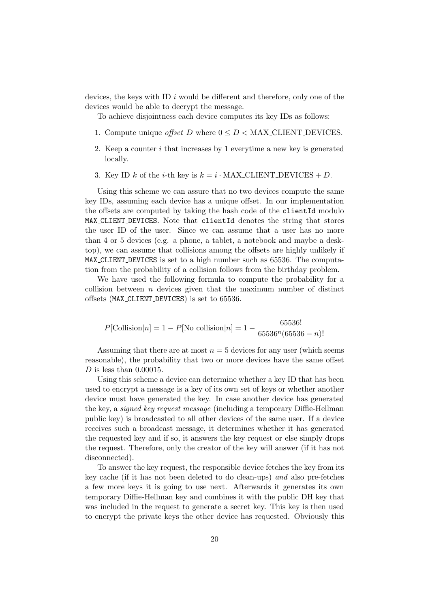devices, the keys with ID  $i$  would be different and therefore, only one of the devices would be able to decrypt the message.

To achieve disjointness each device computes its key IDs as follows:

- 1. Compute unique *offset* D where  $0 \le D \le$  MAX\_CLIENT\_DEVICES.
- 2. Keep a counter  $i$  that increases by 1 everytime a new key is generated locally.
- 3. Key ID k of the *i*-th key is  $k = i \cdot MAX\_CLIENT\_DEVICES + D$ .

Using this scheme we can assure that no two devices compute the same key IDs, assuming each device has a unique offset. In our implementation the offsets are computed by taking the hash code of the clientId modulo MAX CLIENT DEVICES. Note that clientId denotes the string that stores the user ID of the user. Since we can assume that a user has no more than 4 or 5 devices (e.g. a phone, a tablet, a notebook and maybe a desktop), we can assume that collisions among the offsets are highly unlikely if MAX CLIENT DEVICES is set to a high number such as 65536. The computation from the probability of a collision follows from the birthday problem.

We have used the following formula to compute the probability for a collision between  $n$  devices given that the maximum number of distinct offsets (MAX CLIENT DEVICES) is set to 65536.

$$
P[\text{Collision}|n] = 1 - P[\text{No collision}|n] = 1 - \frac{65536!}{65536^n(65536 - n)!}
$$

Assuming that there are at most  $n = 5$  devices for any user (which seems reasonable), the probability that two or more devices have the same offset  $D$  is less than 0.00015.

Using this scheme a device can determine whether a key ID that has been used to encrypt a message is a key of its own set of keys or whether another device must have generated the key. In case another device has generated the key, a signed key request message (including a temporary Diffie-Hellman public key) is broadcasted to all other devices of the same user. If a device receives such a broadcast message, it determines whether it has generated the requested key and if so, it answers the key request or else simply drops the request. Therefore, only the creator of the key will answer (if it has not disconnected).

To answer the key request, the responsible device fetches the key from its key cache (if it has not been deleted to do clean-ups) and also pre-fetches a few more keys it is going to use next. Afterwards it generates its own temporary Diffie-Hellman key and combines it with the public DH key that was included in the request to generate a secret key. This key is then used to encrypt the private keys the other device has requested. Obviously this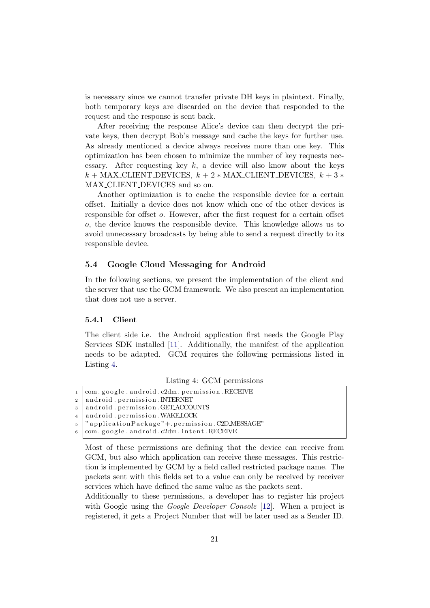is necessary since we cannot transfer private DH keys in plaintext. Finally, both temporary keys are discarded on the device that responded to the request and the response is sent back.

After receiving the response Alice's device can then decrypt the private keys, then decrypt Bob's message and cache the keys for further use. As already mentioned a device always receives more than one key. This optimization has been chosen to minimize the number of key requests necessary. After requesting key  $k$ , a device will also know about the keys  $k + \text{MAX}\_$ CLIENT\_DEVICES,  $k + 2 * \text{MAX}\_$ CLIENT\_DEVICES,  $k + 3 *$ MAX CLIENT DEVICES and so on.

Another optimization is to cache the responsible device for a certain offset. Initially a device does not know which one of the other devices is responsible for offset o. However, after the first request for a certain offset o, the device knows the responsible device. This knowledge allows us to avoid unnecessary broadcasts by being able to send a request directly to its responsible device.

#### <span id="page-21-0"></span>5.4 Google Cloud Messaging for Android

In the following sections, we present the implementation of the client and the server that use the GCM framework. We also present an implementation that does not use a server.

#### <span id="page-21-1"></span>5.4.1 Client

The client side i.e. the Android application first needs the Google Play Services SDK installed [\[11\]](#page-27-11). Additionally, the manifest of the application needs to be adapted. GCM requires the following permissions listed in Listing [4.](#page-21-2)

Listing 4: GCM permissions

Most of these permissions are defining that the device can receive from GCM, but also which application can receive these messages. This restriction is implemented by GCM by a field called restricted package name. The packets sent with this fields set to a value can only be received by receiver services which have defined the same value as the packets sent.

Additionally to these permissions, a developer has to register his project with Google using the *Google Developer Console* [\[12\]](#page-27-12). When a project is registered, it gets a Project Number that will be later used as a Sender ID.

<span id="page-21-2"></span> $\frac{1}{1}$  com . google . and roid . c2dm . permission . RECEIVE

 $2 \text{ and } \text{roid}$ . permission . INTERNET

<sup>3</sup> android . permission . GET ACCOUNTS

<sup>4</sup> android.permission.WAKELOCK

 $5$   $"$  application Package" + . permission . C2D MESSAGE"

 $\lfloor$  com . google . and roid . c2dm . intent . RECEIVE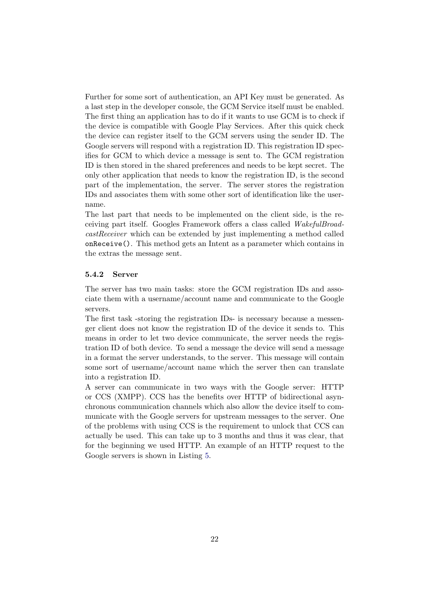Further for some sort of authentication, an API Key must be generated. As a last step in the developer console, the GCM Service itself must be enabled. The first thing an application has to do if it wants to use GCM is to check if the device is compatible with Google Play Services. After this quick check the device can register itself to the GCM servers using the sender ID. The Google servers will respond with a registration ID. This registration ID specifies for GCM to which device a message is sent to. The GCM registration ID is then stored in the shared preferences and needs to be kept secret. The only other application that needs to know the registration ID, is the second part of the implementation, the server. The server stores the registration IDs and associates them with some other sort of identification like the username.

The last part that needs to be implemented on the client side, is the receiving part itself. Googles Framework offers a class called WakefulBroadcastReceiver which can be extended by just implementing a method called onReceive(). This method gets an Intent as a parameter which contains in the extras the message sent.

#### <span id="page-22-0"></span>5.4.2 Server

The server has two main tasks: store the GCM registration IDs and associate them with a username/account name and communicate to the Google servers.

The first task -storing the registration IDs- is necessary because a messenger client does not know the registration ID of the device it sends to. This means in order to let two device communicate, the server needs the registration ID of both device. To send a message the device will send a message in a format the server understands, to the server. This message will contain some sort of username/account name which the server then can translate into a registration ID.

A server can communicate in two ways with the Google server: HTTP or CCS (XMPP). CCS has the benefits over HTTP of bidirectional asynchronous communication channels which also allow the device itself to communicate with the Google servers for upstream messages to the server. One of the problems with using CCS is the requirement to unlock that CCS can actually be used. This can take up to 3 months and thus it was clear, that for the beginning we used HTTP. An example of an HTTP request to the Google servers is shown in Listing [5.](#page-23-0)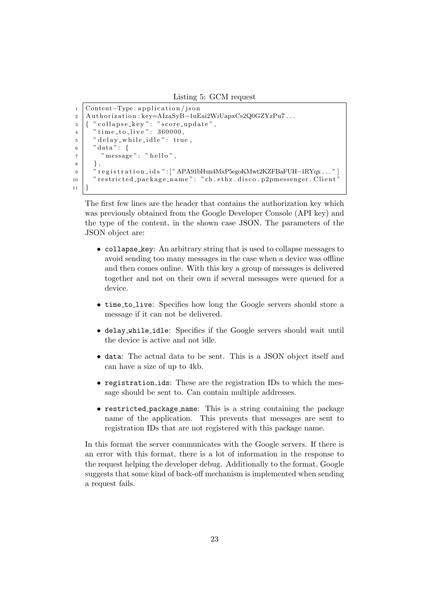Listing 5: GCM request

```
1 | Content-Type : application / json
2 | Authorization : key=AIzaSyB-1uEai2WiUapxCs2Q0GZYzPu7...
3 \mid \{ "collapse_key": "score_update",
4 \mid " time_to_live": 360000,
5 " delay_while_idle": true,
\lceil " data": {
7 \mid "message": "hello",
8 },
9 | "registration_ids":["APA91bHun4MxP5egoKMwt2KZFBaFUH-1RYqx..."]
10 restricted_package_name": "ch.ethz.disco.p2pmessenger.Client"
11 }
```
The first few lines are the header that contains the authorization key which was previously obtained from the Google Developer Console (API key) and the type of the content, in the shown case JSON. The parameters of the JSON object are:

- collapse key: An arbitrary string that is used to collapse messages to avoid sending too many messages in the case when a device was offline and then comes online. With this key a group of messages is delivered together and not on their own if several messages were queued for a device.
- time to live: Specifies how long the Google servers should store a message if it can not be delivered.
- delay while idle: Specifies if the Google servers should wait until the device is active and not idle.
- data: The actual data to be sent. This is a JSON object itself and can have a size of up to 4kb.
- registration ids: These are the registration IDs to which the message should be sent to. Can contain multiple addresses.
- restricted package name: This is a string containing the package name of the application. This prevents that messages are sent to registration IDs that are not registered with this package name.

In this format the server communicates with the Google servers. If there is an error with this format, there is a lot of information in the response to the request helping the developer debug. Additionally to the format, Google suggests that some kind of back-off mechanism is implemented when sending a request fails.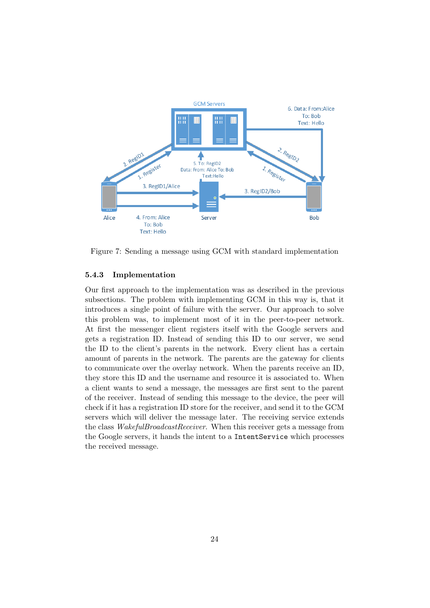

Figure 7: Sending a message using GCM with standard implementation

#### <span id="page-24-0"></span>5.4.3 Implementation

Our first approach to the implementation was as described in the previous subsections. The problem with implementing GCM in this way is, that it introduces a single point of failure with the server. Our approach to solve this problem was, to implement most of it in the peer-to-peer network. At first the messenger client registers itself with the Google servers and gets a registration ID. Instead of sending this ID to our server, we send the ID to the client's parents in the network. Every client has a certain amount of parents in the network. The parents are the gateway for clients to communicate over the overlay network. When the parents receive an ID, they store this ID and the username and resource it is associated to. When a client wants to send a message, the messages are first sent to the parent of the receiver. Instead of sending this message to the device, the peer will check if it has a registration ID store for the receiver, and send it to the GCM servers which will deliver the message later. The receiving service extends the class WakefulBroadcastReceiver. When this receiver gets a message from the Google servers, it hands the intent to a IntentService which processes the received message.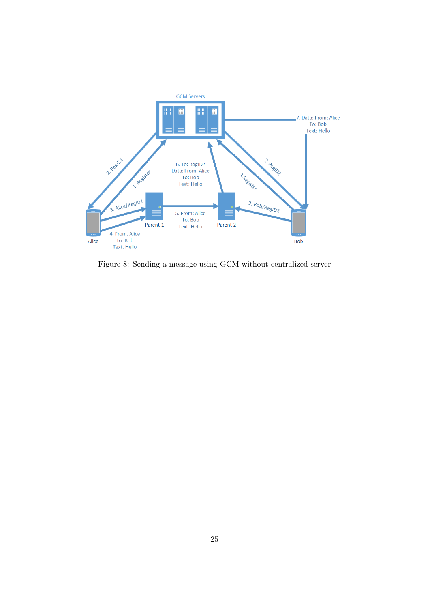

Figure 8: Sending a message using GCM without centralized server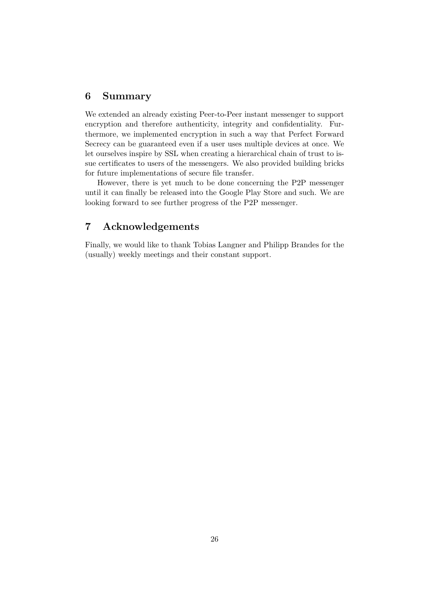## <span id="page-26-0"></span>6 Summary

We extended an already existing Peer-to-Peer instant messenger to support encryption and therefore authenticity, integrity and confidentiality. Furthermore, we implemented encryption in such a way that Perfect Forward Secrecy can be guaranteed even if a user uses multiple devices at once. We let ourselves inspire by SSL when creating a hierarchical chain of trust to issue certificates to users of the messengers. We also provided building bricks for future implementations of secure file transfer.

However, there is yet much to be done concerning the P2P messenger until it can finally be released into the Google Play Store and such. We are looking forward to see further progress of the P2P messenger.

## <span id="page-26-1"></span>7 Acknowledgements

Finally, we would like to thank Tobias Langner and Philipp Brandes for the (usually) weekly meetings and their constant support.